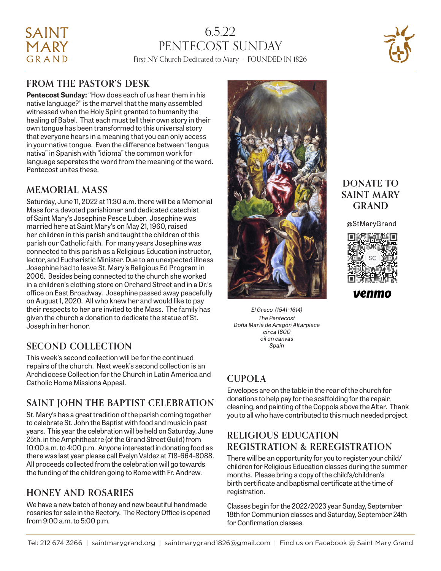# SAINT **MARY** GRAND

# 6.5.22 PENTECOST SUNDAY First NY Church Dedicated to Mary · FOUNDED IN 1826



## **FROM THE PASTOR'S DESK**

**Pentecost Sunday:** "How does each of us hear them in his native language?" is the marvel that the many assembled witnessed when the Holy Spirit granted to humanity the healing of Babel. That each must tell their own story in their own tongue has been transformed to this universal story that everyone hears in a meaning that you can only access in your native tongue. Even the difference between "lengua nativa" in Spanish with "idioma" the common work for language seperates the word from the meaning of the word. Pentecost unites these.

## **MEMORIAL MASS**

Saturday, June 11, 2022 at 11:30 a.m. there will be a Memorial Mass for a devoted parishioner and dedicated catechist of Saint Mary's Josephine Pesce Luber. Josephine was married here at Saint Mary's on May 21, 1960, raised her children in this parish and taught the children of this parish our Catholic faith. For many years Josephine was connected to this parish as a Religious Education instructor, lector, and Eucharistic Minister. Due to an unexpected illness Josephine had to leave St. Mary's Religious Ed Program in 2006. Besides being connected to the church she worked in a children's clothing store on Orchard Street and in a Dr.'s office on East Broadway. Josephine passed away peacefully on August 1, 2020. All who knew her and would like to pay their respects to her are invited to the Mass. The family has given the church a donation to dedicate the statue of St. Joseph in her honor.

## **SECOND COLLECTION**

This week's second collection will be for the continued repairs of the church. Next week's second collection is an Archdiocese Collection for the Church in Latin America and Catholic Home Missions Appeal.

## **SAINT JOHN THE BAPTIST CELEBRATION**

St. Mary's has a great tradition of the parish coming together to celebrate St. John the Baptist with food and music in past years. This year the celebration will be held on Saturday, June 25th. in the Amphitheatre (of the Grand Street Guild) from 10:00 a.m. to 4:00 p.m. Anyone interested in donating food as there was last year please call Evelyn Valdez at 718-664-8088. All proceeds collected from the celebration will go towards the funding of the children going to Rome with Fr. Andrew.

## **HONEY AND ROSARIES**

We have a new batch of honey and new beautiful handmade rosaries for sale in the Rectory. The Rectory Office is opened from 9:00 a.m. to 5:00 p.m.



*El Greco (1541–1614) The Pentecost Doña María de Aragón Altarpiece circa 1600 oil on canvas Spain*

## **CUPOLA**

Envelopes are on the table in the rear of the church for donations to help pay for the scaffolding for the repair, cleaning, and painting of the Coppola above the Altar. Thank you to all who have contributed to this much needed project.

## **RELIGIOUS EDUCATION REGISTRATION & REREGISTRATION**

There will be an opportunity for you to register your child/ children for Religious Education classes during the summer months. Please bring a copy of the child's/children's birth certificate and baptismal certificate at the time of registration.

Classes begin for the 2022/2023 year Sunday, September 18th for Communion classes and Saturday, September 24th for Confirmation classes.

## **DONATE TO SAINT MARY GRAND**

@StMaryGrand